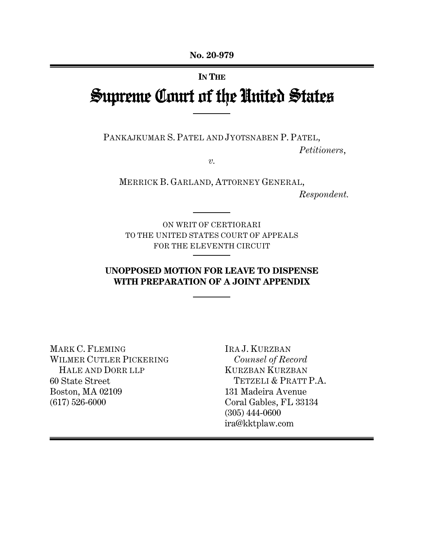## **IN THE**

# Supreme Court of the United States

PANKAJKUMAR S. PATEL AND JYOTSNABEN P. PATEL,

*Petitioners*,

*v.* 

MERRICK B. GARLAND, ATTORNEY GENERAL,

*Respondent.*

ON WRIT OF CERTIORARI TO THE UNITED STATES COURT OF APPEALS FOR THE ELEVENTH CIRCUIT

# **UNOPPOSED MOTION FOR LEAVE TO DISPENSE WITH PREPARATION OF A JOINT APPENDIX**

MARK C. FLEMING WILMER CUTLER PICKERING HALE AND DORR LLP 60 State Street Boston, MA 02109 (617) 526-6000

IRA J. KURZBAN *Counsel of Record*  KURZBAN KURZBAN TETZELI & PRATT P.A. 131 Madeira Avenue Coral Gables, FL 33134 (305) 444-0600 ira@kktplaw.com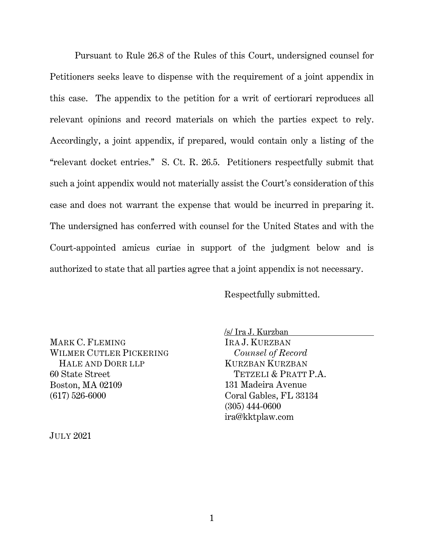Pursuant to Rule 26.8 of the Rules of this Court, undersigned counsel for Petitioners seeks leave to dispense with the requirement of a joint appendix in this case. The appendix to the petition for a writ of certiorari reproduces all relevant opinions and record materials on which the parties expect to rely. Accordingly, a joint appendix, if prepared, would contain only a listing of the ''relevant docket entries.'' S. Ct. R. 26.5. Petitioners respectfully submit that such a joint appendix would not materially assist the Court's consideration of this case and does not warrant the expense that would be incurred in preparing it. The undersigned has conferred with counsel for the United States and with the Court-appointed amicus curiae in support of the judgment below and is authorized to state that all parties agree that a joint appendix is not necessary.

Respectfully submitted.

MARK C. FLEMING WILMER CUTLER PICKERING HALE AND DORR LLP 60 State Street Boston, MA 02109 (617) 526-6000

/s/ Ira J. Kurzban IRA J. KURZBAN *Counsel of Record*  KURZBAN KURZBAN TETZELI & PRATT P.A. 131 Madeira Avenue Coral Gables, FL 33134

(305) 444-0600 ira@kktplaw.com

JULY 2021